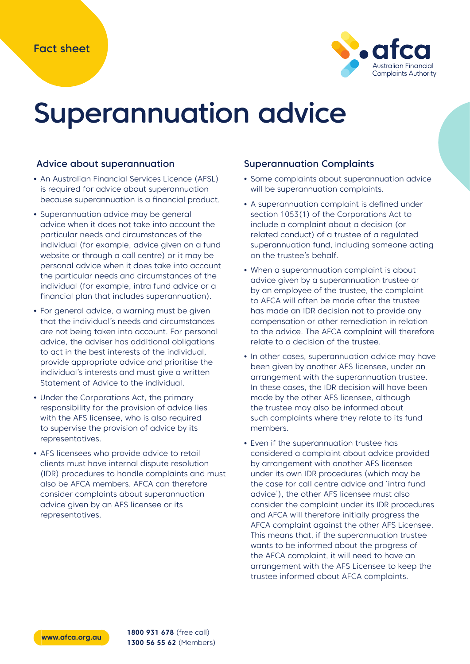

# Superannuation advice

#### Advice about superannuation

- **•** An Australian Financial Services Licence (AFSL) is required for advice about superannuation because superannuation is a financial product.
- **•** Superannuation advice may be general advice when it does not take into account the particular needs and circumstances of the individual (for example, advice given on a fund website or through a call centre) or it may be personal advice when it does take into account the particular needs and circumstances of the individual (for example, intra fund advice or a financial plan that includes superannuation).
- **•** For general advice, a warning must be given that the individual's needs and circumstances are not being taken into account. For personal advice, the adviser has additional obligations to act in the best interests of the individual, provide appropriate advice and prioritise the individual's interests and must give a written Statement of Advice to the individual.
- **•** Under the Corporations Act, the primary responsibility for the provision of advice lies with the AFS licensee, who is also required to supervise the provision of advice by its representatives.
- **•** AFS licensees who provide advice to retail clients must have internal dispute resolution (IDR) procedures to handle complaints and must also be AFCA members. AFCA can therefore consider complaints about superannuation advice given by an AFS licensee or its representatives.

#### Superannuation Complaints

- **•** Some complaints about superannuation advice will be superannuation complaints.
- **•** A superannuation complaint is defined under section 1053(1) of the Corporations Act to include a complaint about a decision (or related conduct) of a trustee of a regulated superannuation fund, including someone acting on the trustee's behalf.
- **•** When a superannuation complaint is about advice given by a superannuation trustee or by an employee of the trustee, the complaint to AFCA will often be made after the trustee has made an IDR decision not to provide any compensation or other remediation in relation to the advice. The AFCA complaint will therefore relate to a decision of the trustee.
- **•** In other cases, superannuation advice may have been given by another AFS licensee, under an arrangement with the superannuation trustee. In these cases, the IDR decision will have been made by the other AFS licensee, although the trustee may also be informed about such complaints where they relate to its fund members.
- **•** Even if the superannuation trustee has considered a complaint about advice provided by arrangement with another AFS licensee under its own IDR procedures (which may be the case for call centre advice and 'intra fund advice'), the other AFS licensee must also consider the complaint under its IDR procedures and AFCA will therefore initially progress the AFCA complaint against the other AFS Licensee. This means that, if the superannuation trustee wants to be informed about the progress of the AFCA complaint, it will need to have an arrangement with the AFS Licensee to keep the trustee informed about AFCA complaints.